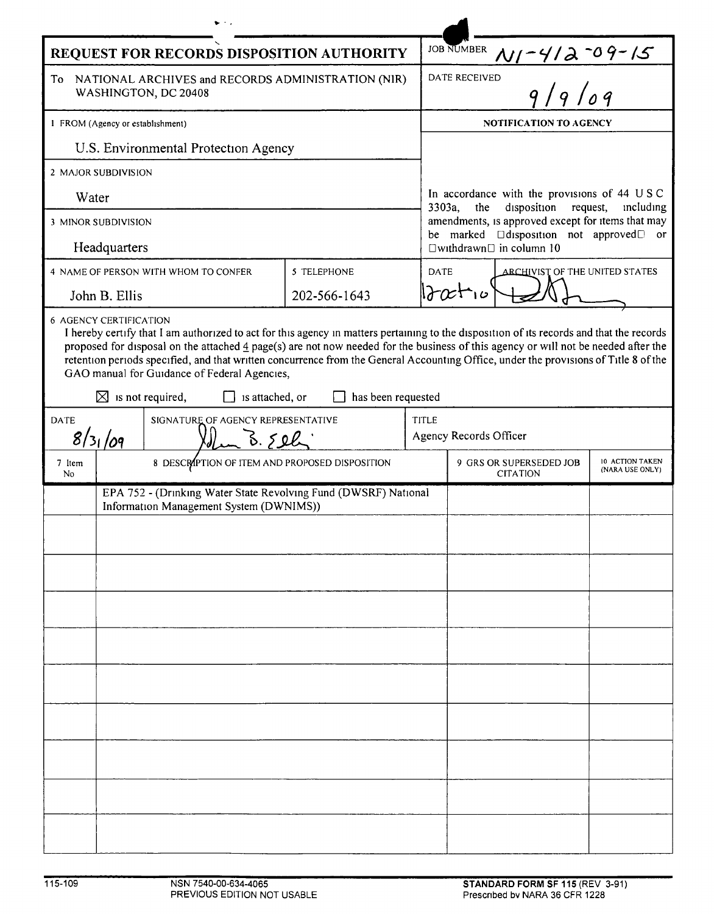| REQUEST FOR RECORDS DISPOSITION AUTHORITY                                                                                                                                                                                                                                                                                                                                                                                                                                                                                                                    |                                                |  |              |                                                                                  | <b>JOB NUMBER</b>                                                                                                                                                                                                                                                                                                       |  |  |  |
|--------------------------------------------------------------------------------------------------------------------------------------------------------------------------------------------------------------------------------------------------------------------------------------------------------------------------------------------------------------------------------------------------------------------------------------------------------------------------------------------------------------------------------------------------------------|------------------------------------------------|--|--------------|----------------------------------------------------------------------------------|-------------------------------------------------------------------------------------------------------------------------------------------------------------------------------------------------------------------------------------------------------------------------------------------------------------------------|--|--|--|
| To<br>NATIONAL ARCHIVES and RECORDS ADMINISTRATION (NIR)<br>WASHINGTON, DC 20408                                                                                                                                                                                                                                                                                                                                                                                                                                                                             |                                                |  |              |                                                                                  | $\frac{N_1 - 4/2 - 09 - 15}{9/9/09}$<br><b>DATE RECEIVED</b>                                                                                                                                                                                                                                                            |  |  |  |
| 1 FROM (Agency or establishment)                                                                                                                                                                                                                                                                                                                                                                                                                                                                                                                             |                                                |  |              |                                                                                  | <b>NOTIFICATION TO AGENCY</b>                                                                                                                                                                                                                                                                                           |  |  |  |
| U.S. Environmental Protection Agency                                                                                                                                                                                                                                                                                                                                                                                                                                                                                                                         |                                                |  |              |                                                                                  |                                                                                                                                                                                                                                                                                                                         |  |  |  |
| 2 MAJOR SUBDIVISION                                                                                                                                                                                                                                                                                                                                                                                                                                                                                                                                          |                                                |  |              |                                                                                  |                                                                                                                                                                                                                                                                                                                         |  |  |  |
| Water                                                                                                                                                                                                                                                                                                                                                                                                                                                                                                                                                        |                                                |  |              |                                                                                  | In accordance with the provisions of 44 USC<br>disposition request,<br>$3303a$ ,<br>the<br>including<br>amendments, is approved except for items that may<br>be marked <b>Odisposition</b> not approved <sup>D</sup> or<br>$\Box$ withdrawn $\Box$ in column 10<br><b>DATE</b><br><b>ARCHIVIST OF THE UNITED STATES</b> |  |  |  |
| 3 MINOR SUBDIVISION                                                                                                                                                                                                                                                                                                                                                                                                                                                                                                                                          |                                                |  |              |                                                                                  |                                                                                                                                                                                                                                                                                                                         |  |  |  |
| Headquarters<br>4 NAME OF PERSON WITH WHOM TO CONFER<br>5 TELEPHONE                                                                                                                                                                                                                                                                                                                                                                                                                                                                                          |                                                |  |              |                                                                                  |                                                                                                                                                                                                                                                                                                                         |  |  |  |
| John B. Ellis                                                                                                                                                                                                                                                                                                                                                                                                                                                                                                                                                |                                                |  | 202-566-1643 |                                                                                  | $2x + 10$                                                                                                                                                                                                                                                                                                               |  |  |  |
| <b>6 AGENCY CERTIFICATION</b>                                                                                                                                                                                                                                                                                                                                                                                                                                                                                                                                |                                                |  |              |                                                                                  |                                                                                                                                                                                                                                                                                                                         |  |  |  |
| I hereby certify that I am authorized to act for this agency in matters pertaining to the disposition of its records and that the records<br>proposed for disposal on the attached $\frac{4}{3}$ page(s) are not now needed for the business of this agency or will not be needed after the<br>retention periods specified, and that written concurrence from the General Accounting Office, under the provisions of Title 8 of the<br>GAO manual for Guidance of Federal Agencies,<br>$\boxtimes$ is not required,<br>has been requested<br>is attached, or |                                                |  |              |                                                                                  |                                                                                                                                                                                                                                                                                                                         |  |  |  |
| SIGNATURE OF AGENCY REPRESENTATIVE<br><b>DATE</b>                                                                                                                                                                                                                                                                                                                                                                                                                                                                                                            |                                                |  |              | TITLE                                                                            |                                                                                                                                                                                                                                                                                                                         |  |  |  |
|                                                                                                                                                                                                                                                                                                                                                                                                                                                                                                                                                              | 8/31/09<br>B.592                               |  |              |                                                                                  | Agency Records Officer                                                                                                                                                                                                                                                                                                  |  |  |  |
| 7 Item<br>No                                                                                                                                                                                                                                                                                                                                                                                                                                                                                                                                                 | 8 DESCRIPTION OF ITEM AND PROPOSED DISPOSITION |  |              | 10 ACTION TAKEN<br>9 GRS OR SUPERSEDED JOB<br>(NARA USE ONLY)<br><b>CITATION</b> |                                                                                                                                                                                                                                                                                                                         |  |  |  |
| EPA 752 - (Drinking Water State Revolving Fund (DWSRF) National<br>Information Management System (DWNIMS))                                                                                                                                                                                                                                                                                                                                                                                                                                                   |                                                |  |              |                                                                                  |                                                                                                                                                                                                                                                                                                                         |  |  |  |
|                                                                                                                                                                                                                                                                                                                                                                                                                                                                                                                                                              |                                                |  |              |                                                                                  |                                                                                                                                                                                                                                                                                                                         |  |  |  |
|                                                                                                                                                                                                                                                                                                                                                                                                                                                                                                                                                              |                                                |  |              |                                                                                  |                                                                                                                                                                                                                                                                                                                         |  |  |  |
|                                                                                                                                                                                                                                                                                                                                                                                                                                                                                                                                                              |                                                |  |              |                                                                                  |                                                                                                                                                                                                                                                                                                                         |  |  |  |
|                                                                                                                                                                                                                                                                                                                                                                                                                                                                                                                                                              |                                                |  |              |                                                                                  |                                                                                                                                                                                                                                                                                                                         |  |  |  |
|                                                                                                                                                                                                                                                                                                                                                                                                                                                                                                                                                              |                                                |  |              |                                                                                  |                                                                                                                                                                                                                                                                                                                         |  |  |  |
|                                                                                                                                                                                                                                                                                                                                                                                                                                                                                                                                                              |                                                |  |              |                                                                                  |                                                                                                                                                                                                                                                                                                                         |  |  |  |
|                                                                                                                                                                                                                                                                                                                                                                                                                                                                                                                                                              |                                                |  |              |                                                                                  |                                                                                                                                                                                                                                                                                                                         |  |  |  |
|                                                                                                                                                                                                                                                                                                                                                                                                                                                                                                                                                              |                                                |  |              |                                                                                  |                                                                                                                                                                                                                                                                                                                         |  |  |  |
|                                                                                                                                                                                                                                                                                                                                                                                                                                                                                                                                                              |                                                |  |              |                                                                                  |                                                                                                                                                                                                                                                                                                                         |  |  |  |
|                                                                                                                                                                                                                                                                                                                                                                                                                                                                                                                                                              |                                                |  |              |                                                                                  |                                                                                                                                                                                                                                                                                                                         |  |  |  |
|                                                                                                                                                                                                                                                                                                                                                                                                                                                                                                                                                              |                                                |  |              |                                                                                  |                                                                                                                                                                                                                                                                                                                         |  |  |  |
|                                                                                                                                                                                                                                                                                                                                                                                                                                                                                                                                                              |                                                |  |              |                                                                                  |                                                                                                                                                                                                                                                                                                                         |  |  |  |
|                                                                                                                                                                                                                                                                                                                                                                                                                                                                                                                                                              |                                                |  |              |                                                                                  |                                                                                                                                                                                                                                                                                                                         |  |  |  |
|                                                                                                                                                                                                                                                                                                                                                                                                                                                                                                                                                              |                                                |  |              |                                                                                  |                                                                                                                                                                                                                                                                                                                         |  |  |  |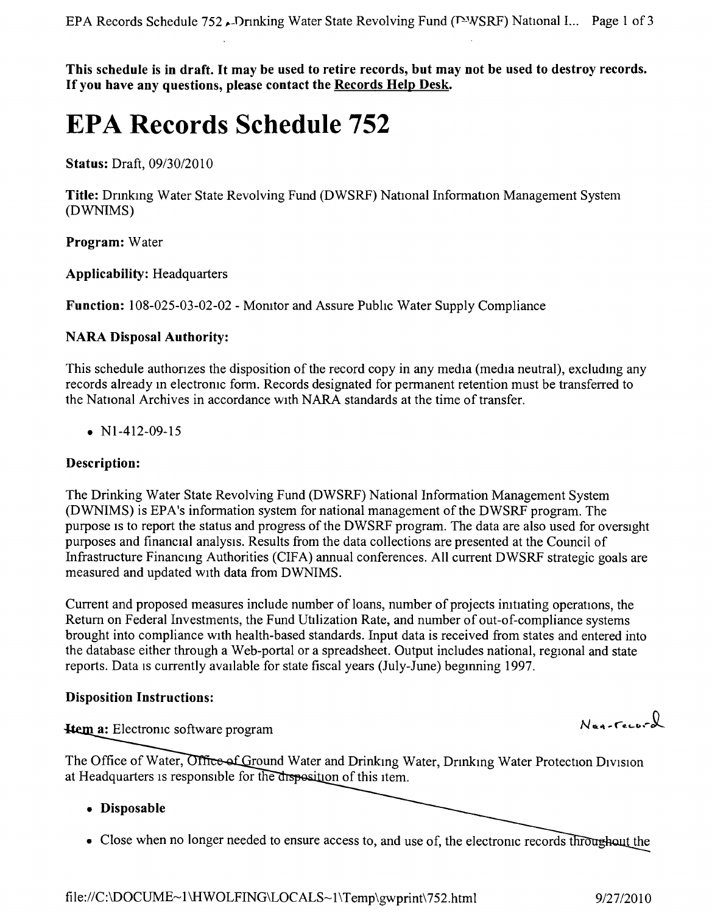This schedule is in draft. It may be used to retire records, but may not be used to destroy records. **If you have any questions, please contact the Records Help Desk.**

# **EPA Records Schedule 752**

**Status:** Draft, *09/30/2010*

**Title:** Drinking Water State Revolving Fund (DWSRF) National Information Management System (DWNIMS)

**Program:** Water

**Applicability:** Headquarters

**Function:** 108-025-03-02-02 - Momtor and Assure Pubhc Water Supply Compliance

## **NARA Disposal Authority:**

This schedule authonzes the disposition of the record copy in any media (media neutral), excludmg any records already in electronic form. Records designated for permanent retention must be transferred to the National Archives in accordance with NARA standards at the time of transfer.

•  $N1-412-09-15$ 

## **Description:**

The Drinking Water State Revolving Fund (DWSRF) National Information Management System (DWNIMS) is EPA's information system for national management of the DWSRF program. The purpose IS to report the status and progress of the DWSRF program. The data are also used for oversight purposes and financial analysis, Results from the data collections are presented at the Council of Infrastructure Financing Authorities (CIFA) annual conferences. All current DWSRF strategic goals are measured and updated with data from DWNIMS.

Current and proposed measures include number of loans, number of projects imtiating operations, the Return on Federal Investments, the Fund Utilization Rate, and number of out-of-compliance systems brought into compliance with health-based standards. Input data is received from states and entered into the database either through a Web-portal or a spreadsheet. Output includes national, regional and state reports. Data is currently available for state fiscal years (July-June) beginning 1997.

### **Disposition Instructions:**

**Hem a:** Electronic software program

The Office of Water, Office of Ground Water and Drinking Water, Drinking Water Protection Division at Headquarters is responsible for the disposition of this item.

- **• Disposable**
- Close when no longer needed to ensure access to, and use of, the electronic records throughout the

Nun-record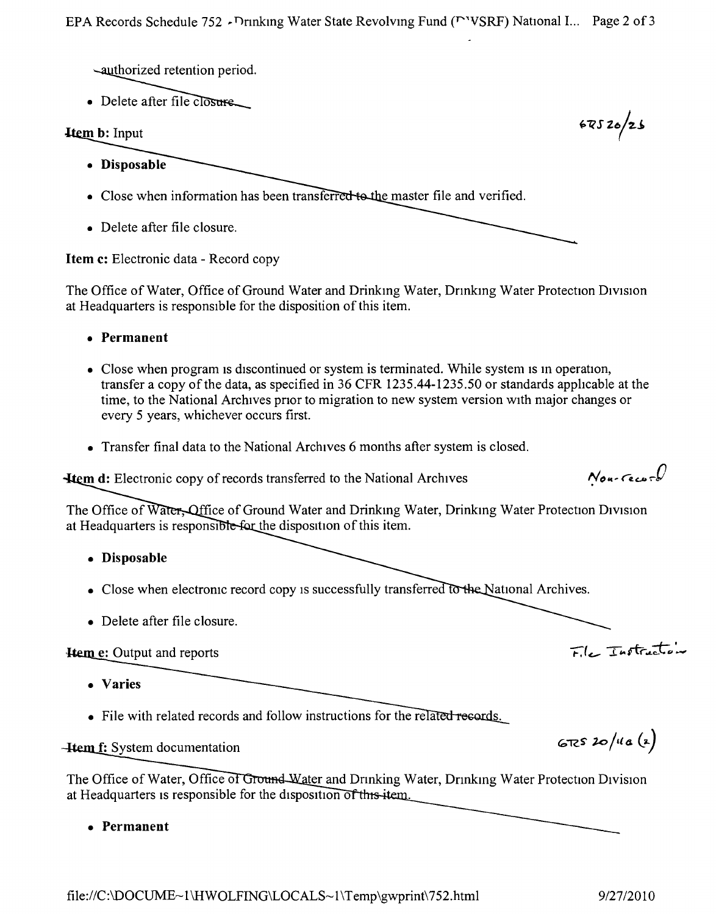-authorized retention period.

 $\bullet$  Delete after file  $\overline{C}$ 

## **Item b:** Input

- Disposable
- Close when information has been transferred to the master file and verified.
- Delete after file closure.

**Item c:** Electronic data - Record copy

The Office of Water, Office of Ground Water and Drinking Water, Drinking Water Protection Division at Headquarters is responsible for the disposition of this item.

- **• Permanent**
- Close when program is discontinued or system is terminated. While system is in operation, transfer a copy of the data, as specified in 36 CFR 1235.44-1235.50 or standards applicable at the time, to the National Archives pnor to migration to new system version with major changes or every 5 years, whichever occurs first.
- Transfer final data to the National Archives 6 months after system is closed.

**m d:** Electronic copy of records transferred to the National Archives

The Office of Water, Office of Ground Water and Drinking Water, Drinking Water Protection Division at Headquarters is responsible for the disposition of this item.

- **• Disposable**
- Close when electronic record copy is successfully transferred to the National Archives.
- Delete after file closure.

# **Hem e:** Output and reports

- **• Varies**
- File with related records and follow instructions for the related records.

## **Hem f:** System documentation

The Office of Water, Office of Ground Water and Drinking Water, Drinking Water Protection Division at Headquarters is responsible for the disposition of this item.

**• Permanent**

 $67520/26$ 

 $N_{\text{our}}$ ccur $\mathcal{C}$ 

 $F_{\alpha}$  Tastractor

 $672520/11a(2)$